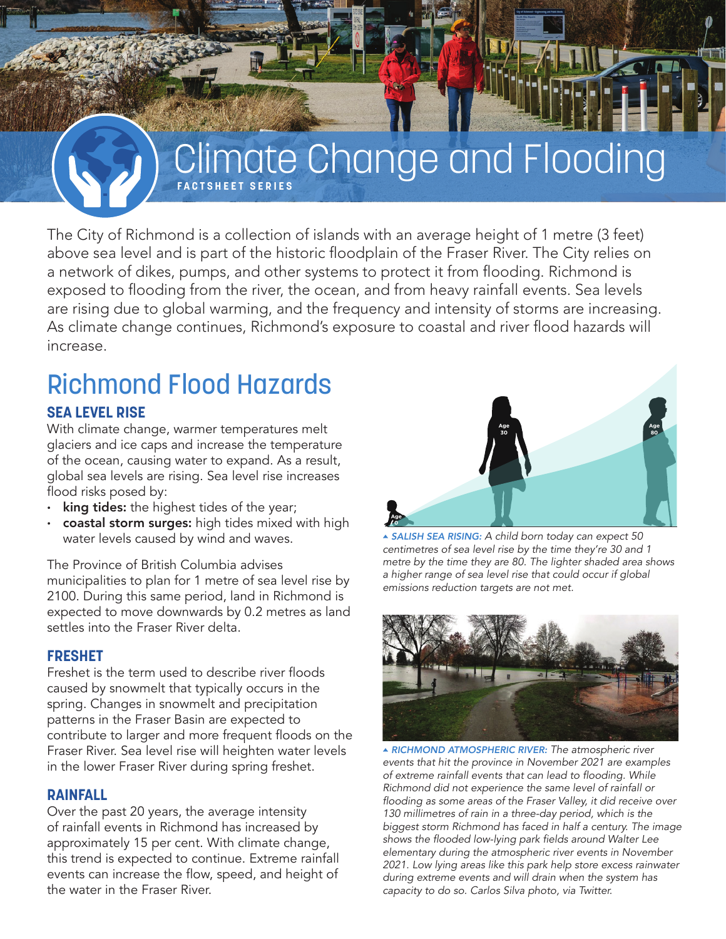## Climate Change and Flooding **FACTSHEET SERIES**

The City of Richmond is a collection of islands with an average height of 1 metre (3 feet) above sea level and is part of the historic floodplain of the Fraser River. The City relies on a network of dikes, pumps, and other systems to protect it from flooding. Richmond is exposed to flooding from the river, the ocean, and from heavy rainfall events. Sea levels are rising due to global warming, and the frequency and intensity of storms are increasing. As climate change continues, Richmond's exposure to coastal and river flood hazards will increase.

# Richmond Flood Hazards

### **SEA LEVEL RISE**

With climate change, warmer temperatures melt glaciers and ice caps and increase the temperature of the ocean, causing water to expand. As a result, global sea levels are rising. Sea level rise increases flood risks posed by:

- king tides: the highest tides of the year;
- coastal storm surges: high tides mixed with high water levels caused by wind and waves.

The Province of British Columbia advises municipalities to plan for 1 metre of sea level rise by 2100. During this same period, land in Richmond is expected to move downwards by 0.2 metres as land settles into the Fraser River delta.

#### **FRESHET**

Freshet is the term used to describe river floods caused by snowmelt that typically occurs in the spring. Changes in snowmelt and precipitation patterns in the Fraser Basin are expected to contribute to larger and more frequent floods on the Fraser River. Sea level rise will heighten water levels in the lower Fraser River during spring freshet.

#### **RAINFALL**

Over the past 20 years, the average intensity of rainfall events in Richmond has increased by approximately 15 per cent. With climate change, this trend is expected to continue. Extreme rainfall events can increase the flow, speed, and height of the water in the Fraser River.



▲ *SALISH SEA RISING:* A child born today can expect 50 centimetres of sea level rise by the time they're 30 and 1 metre by the time they are 80. The lighter shaded area shows a higher range of sea level rise that could occur if global emissions reduction targets are not met.



▲ *RICHMOND ATMOSPHERIC RIVER: The atmospheric river events that hit the province in November 2021 are examples*  of extreme rainfall events that can lead to flooding. While *Richmond did not experience the same level of rainfall or*  flooding as some areas of the Fraser Valley, it did receive over 130 millimetres of rain in a three-day period, which is the biggest storm Richmond has faced in half a century. The image shows the flooded low-lying park fields around Walter Lee elementary during the atmospheric river events in November 2021. Low lying areas like this park help store excess rainwater during extreme events and will drain when the system has capacity to do so. Carlos Silva photo, via Twitter.